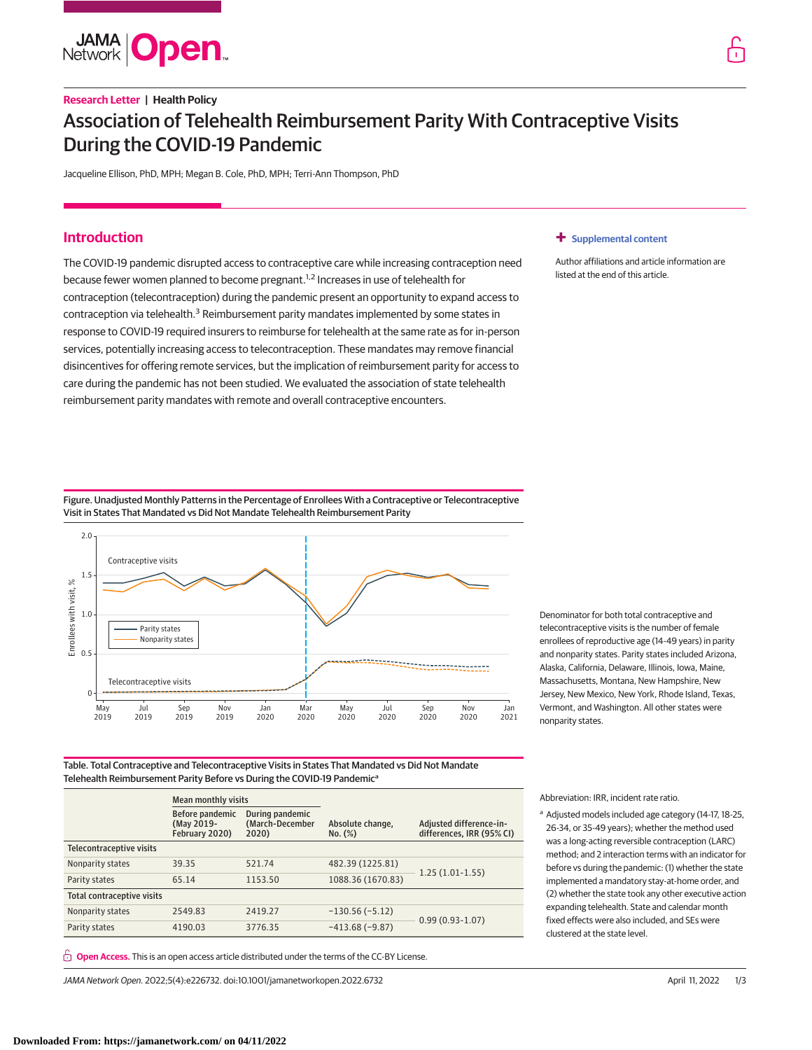

# **Research Letter | Health Policy** Association of Telehealth Reimbursement Parity With Contraceptive Visits During the COVID-19 Pandemic

Jacqueline Ellison, PhD, MPH; Megan B. Cole, PhD, MPH; Terri-Ann Thompson, PhD

# **Introduction**

The COVID-19 pandemic disrupted access to contraceptive care while increasing contraception need because fewer women planned to become pregnant.<sup>1,2</sup> Increases in use of telehealth for contraception (telecontraception) during the pandemic present an opportunity to expand access to contraception via telehealth.<sup>3</sup> Reimbursement parity mandates implemented by some states in response to COVID-19 required insurers to reimburse for telehealth at the same rate as for in-person services, potentially increasing access to telecontraception. These mandates may remove financial disincentives for offering remote services, but the implication of reimbursement parity for access to care during the pandemic has not been studied. We evaluated the association of state telehealth reimbursement parity mandates with remote and overall contraceptive encounters.

# **+ [Supplemental content](https://jama.jamanetwork.com/article.aspx?doi=10.1001/jamanetworkopen.2022.6732&utm_campaign=articlePDF%26utm_medium=articlePDFlink%26utm_source=articlePDF%26utm_content=jamanetworkopen.2022.6732)**

Author affiliations and article information are listed at the end of this article.

Figure. Unadjusted Monthly Patterns in the Percentage of Enrollees With a Contraceptive or Telecontraceptive Visit in States That Mandated vs Did Not Mandate Telehealth Reimbursement Parity



Denominator for both total contraceptive and telecontraceptive visits is the number of female enrollees of reproductive age (14-49 years) in parity and nonparity states. Parity states included Arizona, Alaska, California, Delaware, Illinois, Iowa, Maine, Massachusetts, Montana, New Hampshire, New Jersey, New Mexico, New York, Rhode Island, Texas, Vermont, and Washington. All other states were nonparity states.

Table. Total Contraceptive and Telecontraceptive Visits in States That Mandated vs Did Not Mandate Telehealth Reimbursement Parity Before vs During the COVID-19 Pandemic<sup>a</sup>

|                            | <b>Mean monthly visits</b>                      |                                             |                             |                                                      |
|----------------------------|-------------------------------------------------|---------------------------------------------|-----------------------------|------------------------------------------------------|
|                            | Before pandemic<br>(May 2019-<br>February 2020) | During pandemic<br>(March-December<br>2020) | Absolute change,<br>No. (%) | Adjusted difference-in-<br>differences, IRR (95% CI) |
| Telecontraceptive visits   |                                                 |                                             |                             |                                                      |
| Nonparity states           | 39.35                                           | 521.74                                      | 482.39 (1225.81)            | $1.25(1.01-1.55)$                                    |
| Parity states              | 65.14                                           | 1153.50                                     | 1088.36 (1670.83)           |                                                      |
| Total contraceptive visits |                                                 |                                             |                             |                                                      |
| Nonparity states           | 2549.83                                         | 2419.27                                     | $-130.56(-5.12)$            | $0.99(0.93-1.07)$                                    |
| Parity states              | 4190.03                                         | 3776.35                                     | $-413.68(-9.87)$            |                                                      |

**Open Access.** This is an open access article distributed under the terms of the CC-BY License.

JAMA Network Open. 2022;5(4):e226732. doi:10.1001/jamanetworkopen.2022.6732 (Reprinted) April 11, 2022 1/3

Abbreviation: IRR, incident rate ratio.

<sup>a</sup> Adjusted models included age category (14-17, 18-25, 26-34, or 35-49 years); whether the method used was a long-acting reversible contraception (LARC) method; and 2 interaction terms with an indicator for before vs during the pandemic: (1) whether the state implemented a mandatory stay-at-home order, and (2) whether the state took any other executive action expanding telehealth. State and calendar month fixed effects were also included, and SEs were clustered at the state level.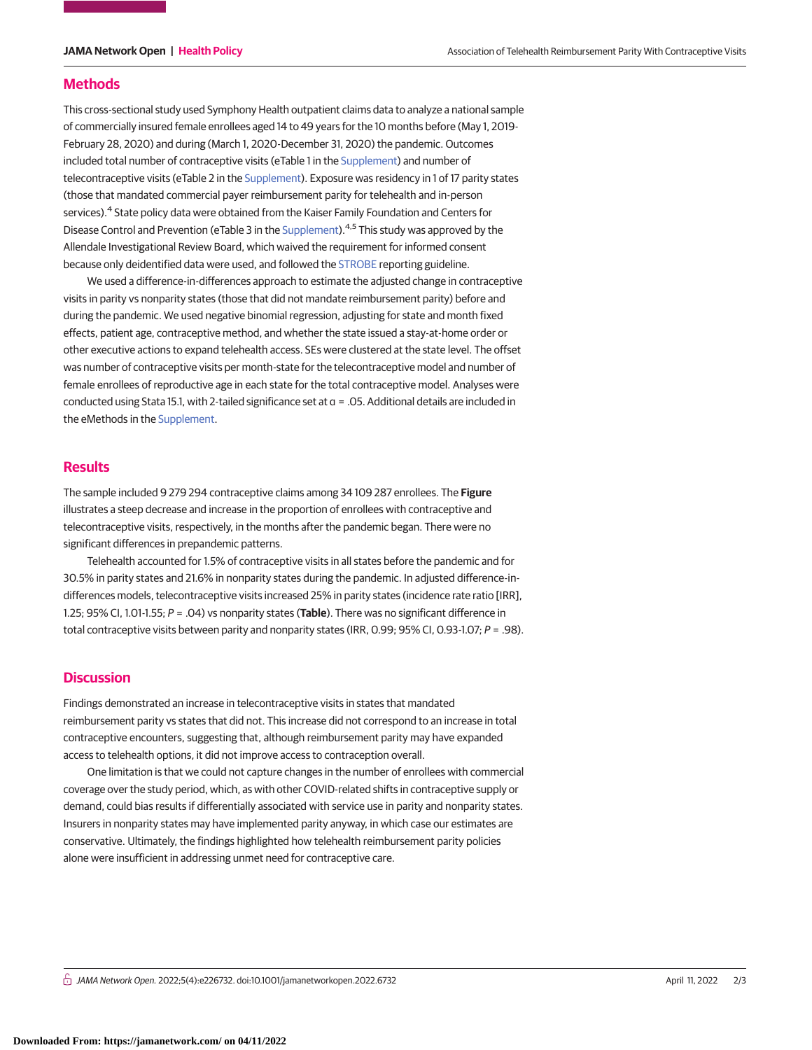## **Methods**

This cross-sectional study used Symphony Health outpatient claims data to analyze a national sample of commercially insured female enrollees aged 14 to 49 years for the 10 months before (May 1, 2019- February 28, 2020) and during (March 1, 2020-December 31, 2020) the pandemic. Outcomes included total number of contraceptive visits (eTable 1 in the [Supplement\)](https://jama.jamanetwork.com/article.aspx?doi=10.1001/jamanetworkopen.2022.6732&utm_campaign=articlePDF%26utm_medium=articlePDFlink%26utm_source=articlePDF%26utm_content=jamanetworkopen.2022.6732) and number of telecontraceptive visits (eTable 2 in the [Supplement\)](https://jama.jamanetwork.com/article.aspx?doi=10.1001/jamanetworkopen.2022.6732&utm_campaign=articlePDF%26utm_medium=articlePDFlink%26utm_source=articlePDF%26utm_content=jamanetworkopen.2022.6732). Exposure was residency in 1 of 17 parity states (those that mandated commercial payer reimbursement parity for telehealth and in-person services).<sup>4</sup> State policy data were obtained from the Kaiser Family Foundation and Centers for Disease Control and Prevention (eTable 3 in the [Supplement\)](https://jama.jamanetwork.com/article.aspx?doi=10.1001/jamanetworkopen.2022.6732&utm_campaign=articlePDF%26utm_medium=articlePDFlink%26utm_source=articlePDF%26utm_content=jamanetworkopen.2022.6732).<sup>4,5</sup> This study was approved by the Allendale Investigational Review Board, which waived the requirement for informed consent because only deidentified data were used, and followed the [STROBE](https://www.equator-network.org/reporting-guidelines/strobe/) reporting guideline.

We used a difference-in-differences approach to estimate the adjusted change in contraceptive visits in parity vs nonparity states (those that did not mandate reimbursement parity) before and during the pandemic. We used negative binomial regression, adjusting for state and month fixed effects, patient age, contraceptive method, and whether the state issued a stay-at-home order or other executive actions to expand telehealth access. SEs were clustered at the state level. The offset was number of contraceptive visits per month-state for the telecontraceptive model and number of female enrollees of reproductive age in each state for the total contraceptive model. Analyses were conducted using Stata 15.1, with 2-tailed significance set at α = .05. Additional details are included in the eMethods in the [Supplement.](https://jama.jamanetwork.com/article.aspx?doi=10.1001/jamanetworkopen.2022.6732&utm_campaign=articlePDF%26utm_medium=articlePDFlink%26utm_source=articlePDF%26utm_content=jamanetworkopen.2022.6732)

# **Results**

The sample included 9 279 294 contraceptive claims among 34 109 287 enrollees. The **Figure** illustrates a steep decrease and increase in the proportion of enrollees with contraceptive and telecontraceptive visits, respectively, in the months after the pandemic began. There were no significant differences in prepandemic patterns.

Telehealth accounted for 1.5% of contraceptive visits in all states before the pandemic and for 30.5% in parity states and 21.6% in nonparity states during the pandemic. In adjusted difference-indifferences models, telecontraceptive visits increased 25% in parity states (incidence rate ratio [IRR], 1.25; 95% CI, 1.01-1.55; P = .04) vs nonparity states (**Table**). There was no significant difference in total contraceptive visits between parity and nonparity states (IRR, 0.99; 95% CI, 0.93-1.07; P = .98).

# **Discussion**

Findings demonstrated an increase in telecontraceptive visits in states that mandated reimbursement parity vs states that did not. This increase did not correspond to an increase in total contraceptive encounters, suggesting that, although reimbursement parity may have expanded access to telehealth options, it did not improve access to contraception overall.

One limitation is that we could not capture changes in the number of enrollees with commercial coverage over the study period, which, as with other COVID-related shifts in contraceptive supply or demand, could bias results if differentially associated with service use in parity and nonparity states. Insurers in nonparity states may have implemented parity anyway, in which case our estimates are conservative. Ultimately, the findings highlighted how telehealth reimbursement parity policies alone were insufficient in addressing unmet need for contraceptive care.

 $\bigcap$  JAMA Network Open. 2022;5(4):e226732. doi:10.1001/jamanetworkopen.2022.6732 (Reprinted) April 11, 2022 2/3